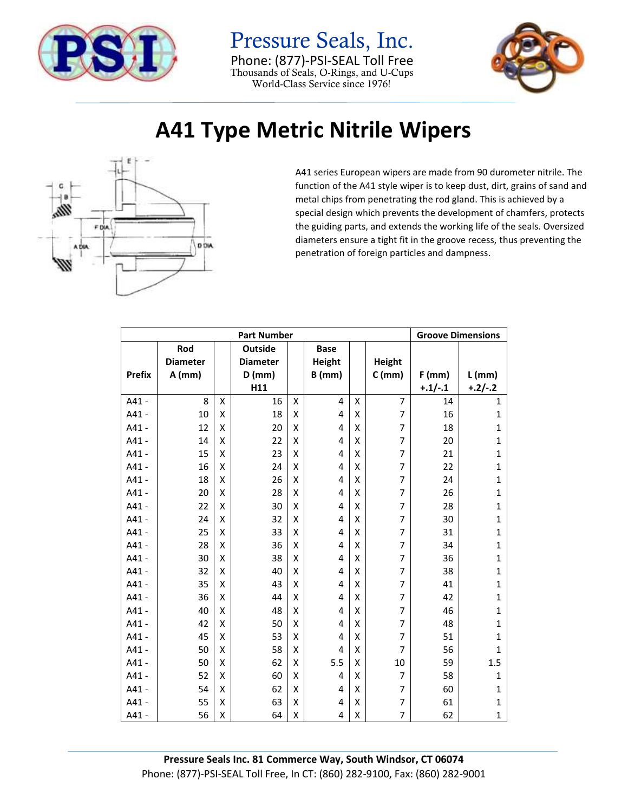

## Pressure Seals, Inc. Phone: (877)-PSI-SEAL Toll Free Thousands of Seals, O-Rings, and U-Cups World-Class Service since 1976!



## **A41 Type Metric Nitrile Wipers**



A41 series European wipers are made from 90 durometer nitrile. The function of the A41 style wiper is to keep dust, dirt, grains of sand and metal chips from penetrating the rod gland. This is achieved by a special design which prevents the development of chamfers, protects the guiding parts, and extends the working life of the seals. Oversized diameters ensure a tight fit in the groove recess, thus preventing the penetration of foreign particles and dampness.

| <b>Part Number</b> |                 |   |                 |   |             |                    |                |           | <b>Groove Dimensions</b> |  |
|--------------------|-----------------|---|-----------------|---|-------------|--------------------|----------------|-----------|--------------------------|--|
|                    | Rod             |   | <b>Outside</b>  |   | <b>Base</b> |                    |                |           |                          |  |
|                    | <b>Diameter</b> |   | <b>Diameter</b> |   | Height      |                    | <b>Height</b>  |           |                          |  |
| <b>Prefix</b>      | $A$ (mm)        |   | $D$ (mm)        |   | $B$ (mm)    |                    | $C$ (mm)       | $F$ (mm)  | $L$ (mm)                 |  |
|                    |                 |   | H11             |   |             |                    |                | $+.1/-.1$ | $+.2/-.2$                |  |
| A41 -              | 8               | X | 16              | Χ | 4           | X                  | $\overline{7}$ | 14        | $\mathbf{1}$             |  |
| $A41 -$            | 10              | X | 18              | X | 4           | X                  | $\overline{7}$ | 16        | $\mathbf{1}$             |  |
| $A41 -$            | 12              | Χ | 20              | Χ | 4           | $\pmb{\mathsf{X}}$ | $\overline{7}$ | 18        | $\mathbf{1}$             |  |
| A41 -              | 14              | Χ | 22              | Χ | 4           | X                  | $\overline{7}$ | 20        | $\mathbf{1}$             |  |
| $A41 -$            | 15              | X | 23              | X | 4           | X                  | $\overline{7}$ | 21        | $\mathbf{1}$             |  |
| A41 -              | 16              | X | 24              | X | 4           | X                  | $\overline{7}$ | 22        | $\mathbf{1}$             |  |
| A41 -              | 18              | X | 26              | X | 4           | X                  | $\overline{7}$ | 24        | $\mathbf{1}$             |  |
| A41 -              | 20              | X | 28              | Χ | 4           | X                  | $\overline{7}$ | 26        | 1                        |  |
| $A41 -$            | 22              | X | 30              | X | 4           | X                  | $\overline{7}$ | 28        | $\mathbf{1}$             |  |
| A41 -              | 24              | X | 32              | X | 4           | X                  | $\overline{7}$ | 30        | $\mathbf{1}$             |  |
| A41 -              | 25              | X | 33              | X | 4           | X                  | 7              | 31        | $\mathbf{1}$             |  |
| A41 -              | 28              | X | 36              | X | 4           | X                  | $\overline{7}$ | 34        | 1                        |  |
| A41 -              | 30              | X | 38              | X | 4           | X                  | $\overline{7}$ | 36        | $\mathbf{1}$             |  |
| A41 -              | 32              | X | 40              | X | 4           | X                  | $\overline{7}$ | 38        | $\mathbf{1}$             |  |
| $A41 -$            | 35              | X | 43              | X | 4           | X                  | $\overline{7}$ | 41        | $\mathbf{1}$             |  |
| A41 -              | 36              | X | 44              | X | 4           | X                  | 7              | 42        | 1                        |  |
| A41 -              | 40              | X | 48              | Χ | 4           | X                  | 7              | 46        | $\mathbf{1}$             |  |
| A41 -              | 42              | X | 50              | X | 4           | X                  | $\overline{7}$ | 48        | $\mathbf{1}$             |  |
| $A41 -$            | 45              | X | 53              | X | 4           | X                  | 7              | 51        | 1                        |  |
| A41 -              | 50              | X | 58              | Χ | 4           | X                  | $\overline{7}$ | 56        | 1                        |  |
| A41 -              | 50              | X | 62              | X | 5.5         | Χ                  | 10             | 59        | 1.5                      |  |
| A41 -              | 52              | X | 60              | X | 4           | X                  | $\overline{7}$ | 58        | 1                        |  |
| A41 -              | 54              | X | 62              | Χ | 4           | X                  | $\overline{7}$ | 60        | $\mathbf{1}$             |  |
| A41 -              | 55              | X | 63              | Χ | 4           | $\pmb{\mathsf{X}}$ | $\overline{7}$ | 61        | $\mathbf{1}$             |  |
| A41 -              | 56              | X | 64              | Χ | 4           | Χ                  | 7              | 62        | 1                        |  |